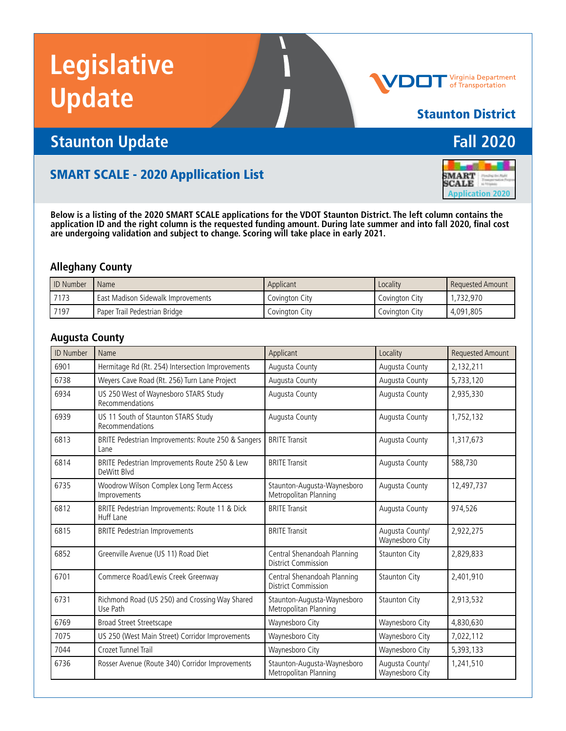# **Legislative Update**



#### Staunton District

**SMART**<br>SCALE

Application 2020

### **Staunton Update Fall 2020**

#### SMART SCALE - 2020 Appllication List

**Below is a listing of the 2020 SMART SCALE applications for the VDOT Staunton District. The left column contains the application ID and the right column is the requested funding amount. During late summer and into fall 2020, final cost are undergoing validation and subject to change. Scoring will take place in early 2021.**

#### **Alleghany County**

| <b>ID Number</b> | I Name                             | Applicant      | Locality       | Requested Amount |
|------------------|------------------------------------|----------------|----------------|------------------|
| 7173             | East Madison Sidewalk Improvements | Covinaton Citv | Covinaton City | 732.970          |
| 7197             | Paper Trail Pedestrian Bridge      | Covinaton Citv | Covinaton City | 4,091,805        |

#### **Augusta County**

| <b>ID Number</b> | Name                                                         | Applicant                                                 | Locality                           | <b>Requested Amount</b> |
|------------------|--------------------------------------------------------------|-----------------------------------------------------------|------------------------------------|-------------------------|
| 6901             | Hermitage Rd (Rt. 254) Intersection Improvements             | Augusta County                                            | Augusta County                     | 2,132,211               |
| 6738             | Weyers Cave Road (Rt. 256) Turn Lane Project                 | Augusta County                                            | Augusta County                     | 5,733,120               |
| 6934             | US 250 West of Waynesboro STARS Study<br>Recommendations     | Augusta County                                            | Augusta County                     | 2,935,330               |
| 6939             | US 11 South of Staunton STARS Study<br>Recommendations       | Augusta County                                            | Augusta County                     | 1,752,132               |
| 6813             | BRITE Pedestrian Improvements: Route 250 & Sangers<br>Lane   | <b>BRITE Transit</b>                                      | Augusta County                     | 1,317,673               |
| 6814             | BRITE Pedestrian Improvements Route 250 & Lew<br>DeWitt Blvd | <b>BRITE Transit</b>                                      | Augusta County                     | 588,730                 |
| 6735             | Woodrow Wilson Complex Long Term Access<br>Improvements      | Staunton-Augusta-Waynesboro<br>Metropolitan Planning      | Augusta County                     | 12,497,737              |
| 6812             | BRITE Pedestrian Improvements: Route 11 & Dick<br>Huff Lane  | <b>BRITE Transit</b>                                      | Augusta County                     | 974.526                 |
| 6815             | <b>BRITE Pedestrian Improvements</b>                         | <b>BRITE Transit</b>                                      | Augusta County/<br>Waynesboro City | 2,922,275               |
| 6852             | Greenville Avenue (US 11) Road Diet                          | Central Shenandoah Planning<br><b>District Commission</b> | <b>Staunton City</b>               | 2,829,833               |
| 6701             | Commerce Road/Lewis Creek Greenway                           | Central Shenandoah Planning<br>District Commission        | <b>Staunton City</b>               | 2.401.910               |
| 6731             | Richmond Road (US 250) and Crossing Way Shared<br>Use Path   | Staunton-Augusta-Waynesboro<br>Metropolitan Planning      | <b>Staunton City</b>               | 2,913,532               |
| 6769             | <b>Broad Street Streetscape</b>                              | Waynesboro City                                           | Waynesboro City                    | 4,830,630               |
| 7075             | US 250 (West Main Street) Corridor Improvements              | Waynesboro City                                           | Waynesboro City                    | 7,022,112               |
| 7044             | Crozet Tunnel Trail                                          | Waynesboro City                                           | Waynesboro City                    | 5,393,133               |
| 6736             | Rosser Avenue (Route 340) Corridor Improvements              | Staunton-Augusta-Waynesboro<br>Metropolitan Planning      | Augusta County/<br>Waynesboro City | 1,241,510               |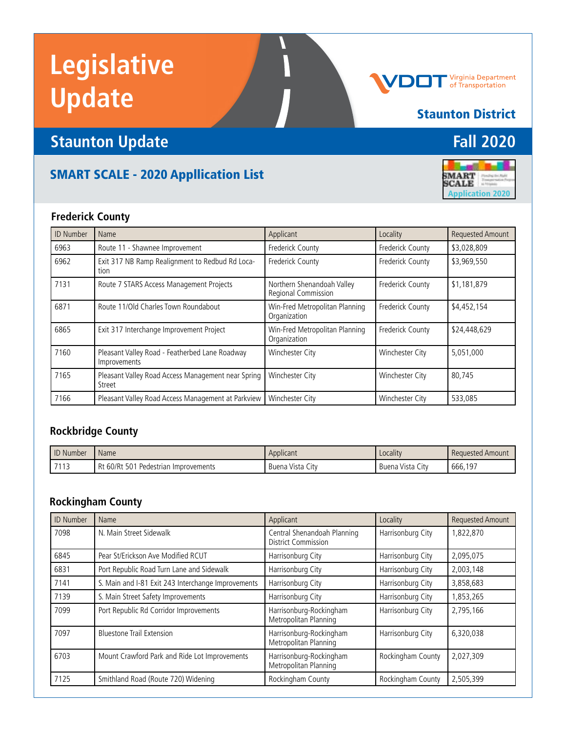# **Legislative Update**

## **Staunton Update Fall 2020**

### SMART SCALE - 2020 Appllication List

**Frederick County**

| <b>ID Number</b> | Name                                                           | Applicant                                         | Locality         | <b>Requested Amount</b> |
|------------------|----------------------------------------------------------------|---------------------------------------------------|------------------|-------------------------|
| 6963             | Route 11 - Shawnee Improvement                                 | Frederick County                                  | Frederick County | \$3,028,809             |
| 6962             | Exit 317 NB Ramp Realignment to Redbud Rd Loca-<br>tion        | Frederick County                                  | Frederick County | \$3,969,550             |
| 7131             | Route 7 STARS Access Management Projects                       | Northern Shenandoah Valley<br>Regional Commission | Frederick County | \$1,181,879             |
| 6871             | Route 11/Old Charles Town Roundabout                           | Win-Fred Metropolitan Planning<br>Organization    | Frederick County | \$4,452,154             |
| 6865             | Exit 317 Interchange Improvement Project                       | Win-Fred Metropolitan Planning<br>Organization    | Frederick County | \$24,448,629            |
| 7160             | Pleasant Valley Road - Featherbed Lane Roadway<br>Improvements | Winchester City                                   | Winchester City  | 5,051,000               |
| 7165             | Pleasant Valley Road Access Management near Spring<br>Street   | Winchester City                                   | Winchester City  | 80.745                  |
| 7166             | Pleasant Valley Road Access Management at Parkview             | Winchester City                                   | Winchester City  | 533,085                 |

#### **Rockbridge County**

| <b>ID</b> Number | Name                                 | Applicant        | Locality         | Requested Amount |
|------------------|--------------------------------------|------------------|------------------|------------------|
| 7113             | Rt 60/Rt 501 Pedestrian Improvements | Buena Vista City | Buena Vista City | 666.197          |

#### **Rockingham County**

| <b>ID Number</b> | Name                                               | Applicant                                                 | Locality          | <b>Requested Amount</b> |
|------------------|----------------------------------------------------|-----------------------------------------------------------|-------------------|-------------------------|
| 7098             | N. Main Street Sidewalk                            | Central Shenandoah Planning<br><b>District Commission</b> | Harrisonburg City | 1,822,870               |
| 6845             | Pear St/Erickson Ave Modified RCUT                 | Harrisonburg City                                         | Harrisonburg City | 2,095,075               |
| 6831             | Port Republic Road Turn Lane and Sidewalk          | Harrisonburg City                                         | Harrisonburg City | 2,003,148               |
| 7141             | S. Main and I-81 Exit 243 Interchange Improvements | Harrisonburg City                                         | Harrisonburg City | 3,858,683               |
| 7139             | S. Main Street Safety Improvements                 | Harrisonburg City                                         | Harrisonburg City | 1,853,265               |
| 7099             | Port Republic Rd Corridor Improvements             | Harrisonburg-Rockingham<br>Metropolitan Planning          | Harrisonburg City | 2,795,166               |
| 7097             | <b>Bluestone Trail Extension</b>                   | Harrisonburg-Rockingham<br>Metropolitan Planning          | Harrisonburg City | 6,320,038               |
| 6703             | Mount Crawford Park and Ride Lot Improvements      | Harrisonburg-Rockingham<br>Metropolitan Planning          | Rockingham County | 2,027,309               |
| 7125             | Smithland Road (Route 720) Widening                | Rockingham County                                         | Rockingham County | 2,505,399               |



Staunton District

## Virginia Department<br>of Transportation